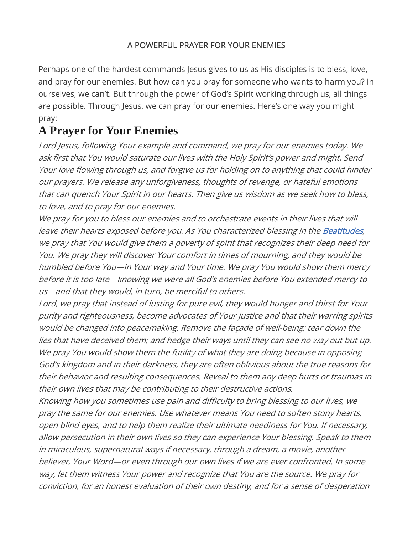## A POWERFUL PRAYER FOR YOUR ENEMIES

Perhaps one of the hardest commands Jesus gives to us as His disciples is to bless, love, and pray for our enemies. But how can you pray for someone who wants to harm you? In ourselves, we can't. But through the power of God's Spirit working through us, all things are possible. Through Jesus, we can pray for our enemies. Here's one way you might pray:

## A Prayer for Your Enemies

Lord Jesus, following Your example and command, we pray for our enemies today. We ask first that You would saturate our lives with the Holy Spirit's power and might. Send Your love flowing through us, and forgive us for holding on to anything that could hinder our prayers. We release any unforgiveness, thoughts of revenge, or hateful emotions that can quench Your Spirit in our hearts. Then give us wisdom as we seek how to bless, to love, and to pray for our enemies.

We pray for you to bless our enemies and to orchestrate events in their lives that will leave their hearts exposed before you. As You characterized blessing in the Beatitudes, we pray that You would give them a poverty of spirit that recognizes their deep need for You. We pray they will discover Your comfort in times of mourning, and they would be humbled before You—in Your way and Your time. We pray You would show them mercy before it is too late—knowing we were all God's enemies before You extended mercy to us—and that they would, in turn, be merciful to others.

Lord, we pray that instead of lusting for pure evil, they would hunger and thirst for Your purity and righteousness, become advocates of Your justice and that their warring spirits would be changed into peacemaking. Remove the façade of well-being; tear down the lies that have deceived them; and hedge their ways until they can see no way out but up. We pray You would show them the futility of what they are doing because in opposing God's kingdom and in their darkness, they are often oblivious about the true reasons for their behavior and resulting consequences. Reveal to them any deep hurts or traumas in their own lives that may be contributing to their destructive actions.

Knowing how you sometimes use pain and difficulty to bring blessing to our lives, we pray the same for our enemies. Use whatever means You need to soften stony hearts, open blind eyes, and to help them realize their ultimate neediness for You. If necessary, allow persecution in their own lives so they can experience Your blessing. Speak to them in miraculous, supernatural ways if necessary, through a dream, a movie, another believer, Your Word—or even through our own lives if we are ever confronted. In some way, let them witness Your power and recognize that You are the source. We pray for conviction, for an honest evaluation of their own destiny, and for a sense of desperation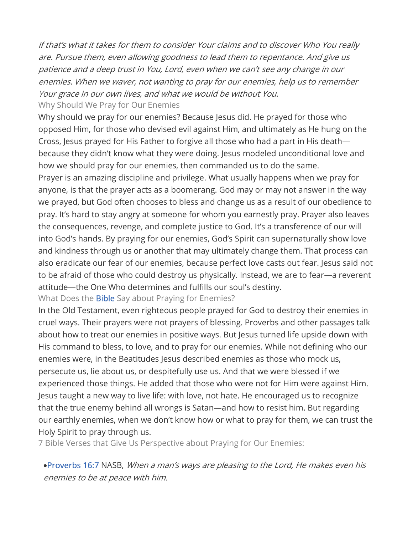if that's what it takes for them to consider Your claims and to discover Who You really are. Pursue them, even allowing goodness to lead them to repentance. And give us patience and a deep trust in You, Lord, even when we can't see any change in our enemies. When we waver, not wanting to pray for our enemies, help us to remember Your grace in our own lives, and what we would be without You. Why Should We Pray for Our Enemies

Why should we pray for our enemies? Because Jesus did. He prayed for those who opposed Him, for those who devised evil against Him, and ultimately as He hung on the Cross, Jesus prayed for His Father to forgive all those who had a part in His death because they didn't know what they were doing. Jesus modeled unconditional love and how we should pray for our enemies, then commanded us to do the same.

Prayer is an amazing discipline and privilege. What usually happens when we pray for anyone, is that the prayer acts as a boomerang. God may or may not answer in the way we prayed, but God often chooses to bless and change us as a result of our obedience to pray. It's hard to stay angry at someone for whom you earnestly pray. Prayer also leaves the consequences, revenge, and complete justice to God. It's a transference of our will into God's hands. By praying for our enemies, God's Spirit can supernaturally show love and kindness through us or another that may ultimately change them. That process can also eradicate our fear of our enemies, because perfect love casts out fear. Jesus said not to be afraid of those who could destroy us physically. Instead, we are to fear—a reverent attitude—the One Who determines and fulfills our soul's destiny.

What Does the **Bible** Say about Praying for Enemies?

In the Old Testament, even righteous people prayed for God to destroy their enemies in cruel ways. Their prayers were not prayers of blessing. Proverbs and other passages talk about how to treat our enemies in positive ways. But Jesus turned life upside down with His command to bless, to love, and to pray for our enemies. While not defining who our enemies were, in the Beatitudes Jesus described enemies as those who mock us, persecute us, lie about us, or despitefully use us. And that we were blessed if we experienced those things. He added that those who were not for Him were against Him. Jesus taught a new way to live life: with love, not hate. He encouraged us to recognize that the true enemy behind all wrongs is Satan—and how to resist him. But regarding our earthly enemies, when we don't know how or what to pray for them, we can trust the Holy Spirit to pray through us.

7 Bible Verses that Give Us Perspective about Praying for Our Enemies:

**•Proverbs 16:7** NASB, When a man's ways are pleasing to the Lord, He makes even his enemies to be at peace with him.